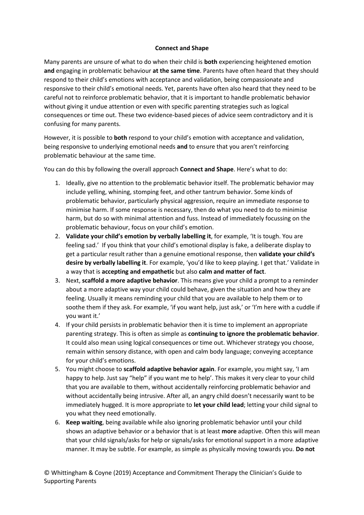## **Connect and Shape**

Many parents are unsure of what to do when their child is **both** experiencing heightened emotion **and** engaging in problematic behaviour **at the same time**. Parents have often heard that they should respond to their child's emotions with acceptance and validation, being compassionate and responsive to their child's emotional needs. Yet, parents have often also heard that they need to be careful not to reinforce problematic behavior, that it is important to handle problematic behavior without giving it undue attention or even with specific parenting strategies such as logical consequences or time out. These two evidence-based pieces of advice seem contradictory and it is confusing for many parents.

However, it is possible to **both** respond to your child's emotion with acceptance and validation, being responsive to underlying emotional needs **and** to ensure that you aren't reinforcing problematic behaviour at the same time.

You can do this by following the overall approach **Connect and Shape**. Here's what to do:

- 1. Ideally, give no attention to the problematic behavior itself. The problematic behavior may include yelling, whining, stomping feet, and other tantrum behavior. Some kinds of problematic behavior, particularly physical aggression, require an immediate response to minimise harm. If some response is necessary, then do what you need to do to minimise harm, but do so with minimal attention and fuss. Instead of immediately focussing on the problematic behaviour, focus on your child's emotion.
- 2. **Validate your child's emotion by verbally labelling it**, for example, 'It is tough. You are feeling sad.' If you think that your child's emotional display is fake, a deliberate display to get a particular result rather than a genuine emotional response, then **validate your child's desire by verbally labelling it**. For example, 'you'd like to keep playing. I get that.' Validate in a way that is **accepting and empathetic** but also **calm and matter of fact**.
- 3. Next, **scaffold a more adaptive behavior**. This means give your child a prompt to a reminder about a more adaptive way your child could behave, given the situation and how they are feeling. Usually it means reminding your child that you are available to help them or to soothe them if they ask. For example, 'if you want help, just ask,' or 'I'm here with a cuddle if you want it.'
- 4. If your child persists in problematic behavior then it is time to implement an appropriate parenting strategy. This is often as simple as **continuing to ignore the problematic behavior**. It could also mean using logical consequences or time out. Whichever strategy you choose, remain within sensory distance, with open and calm body language; conveying acceptance for your child's emotions.
- 5. You might choose to **scaffold adaptive behavior again**. For example, you might say, 'I am happy to help. Just say "help" if you want me to help'. This makes it very clear to your child that you are available to them, without accidentally reinforcing problematic behavior and without accidentally being intrusive. After all, an angry child doesn't necessarily want to be immediately hugged. It is more appropriate to **let your child lead**; letting your child signal to you what they need emotionally.
- 6. **Keep waiting**, being available while also ignoring problematic behavior until your child shows an adaptive behavior or a behavior that is at least **more** adaptive. Often this will mean that your child signals/asks for help or signals/asks for emotional support in a more adaptive manner. It may be subtle. For example, as simple as physically moving towards you. **Do not**

© Whittingham & Coyne (2019) Acceptance and Commitment Therapy the Clinician's Guide to Supporting Parents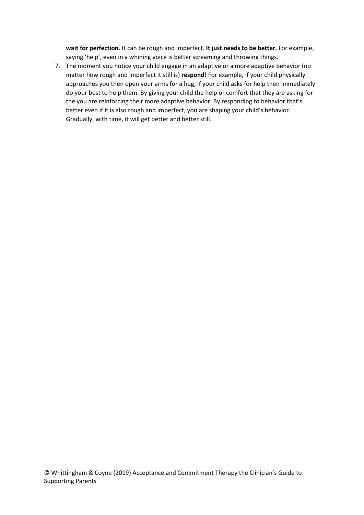**wait for perfection.** It can be rough and imperfect. **It just needs to be better.** For example, saying 'help', even in a whining voice is better screaming and throwing things.

7. The moment you notice your child engage in an adaptive or a more adaptive behavior (no matter how rough and imperfect it still is) **respond**! For example, if your child physically approaches you then open your arms for a hug, if your child asks for help then immediately do your best to help them. By giving your child the help or comfort that they are asking for the you are reinforcing their more adaptive behavior. By responding to behavior that's better even if it is also rough and imperfect, you are shaping your child's behavior. Gradually, with time, it will get better and better still.